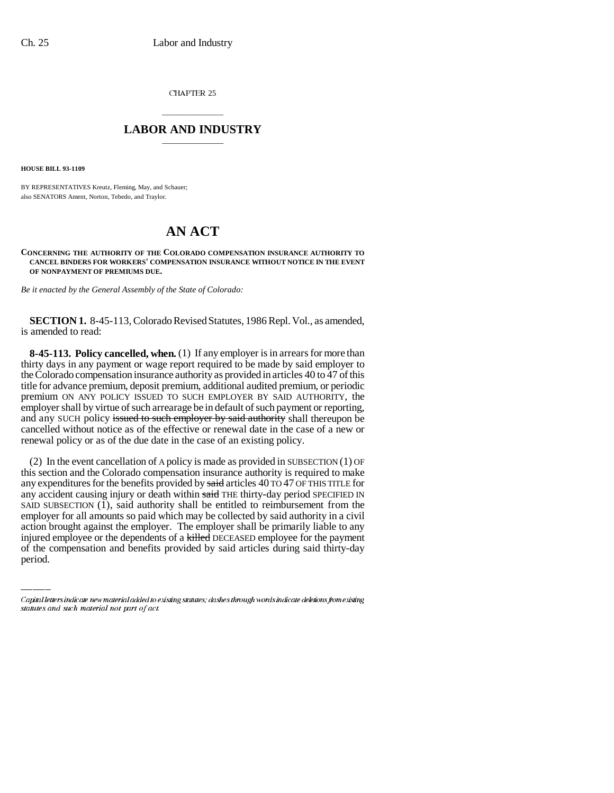CHAPTER 25

## \_\_\_\_\_\_\_\_\_\_\_\_\_\_\_ **LABOR AND INDUSTRY** \_\_\_\_\_\_\_\_\_\_\_\_\_\_\_

**HOUSE BILL 93-1109**

BY REPRESENTATIVES Kreutz, Fleming, May, and Schauer; also SENATORS Ament, Norton, Tebedo, and Traylor.

## **AN ACT**

**CONCERNING THE AUTHORITY OF THE COLORADO COMPENSATION INSURANCE AUTHORITY TO CANCEL BINDERS FOR WORKERS' COMPENSATION INSURANCE WITHOUT NOTICE IN THE EVENT OF NONPAYMENT OF PREMIUMS DUE.**

*Be it enacted by the General Assembly of the State of Colorado:*

**SECTION 1.** 8-45-113, Colorado Revised Statutes, 1986 Repl. Vol., as amended, is amended to read:

**8-45-113. Policy cancelled, when.** (1) If any employer is in arrears for more than thirty days in any payment or wage report required to be made by said employer to the Colorado compensation insurance authority as provided in articles 40 to 47 of this title for advance premium, deposit premium, additional audited premium, or periodic premium ON ANY POLICY ISSUED TO SUCH EMPLOYER BY SAID AUTHORITY, the employer shall by virtue of such arrearage be in default of such payment or reporting, and any SUCH policy issued to such employer by said authority shall thereupon be cancelled without notice as of the effective or renewal date in the case of a new or renewal policy or as of the due date in the case of an existing policy.

employer for all amounts so paid which may be collected by said authority in a civil (2) In the event cancellation of A policy is made as provided in SUBSECTION (1) OF this section and the Colorado compensation insurance authority is required to make any expenditures for the benefits provided by said articles 40 TO 47 OF THIS TITLE for any accident causing injury or death within said THE thirty-day period SPECIFIED IN SAID SUBSECTION (1), said authority shall be entitled to reimbursement from the action brought against the employer. The employer shall be primarily liable to any injured employee or the dependents of a killed DECEASED employee for the payment of the compensation and benefits provided by said articles during said thirty-day period.

Capital letters indicate new material added to existing statutes; dashes through words indicate deletions from existing statutes and such material not part of act.